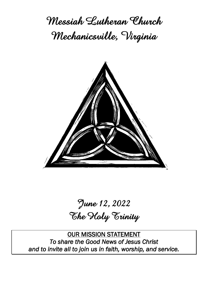**Messiah Lutheran Church Mechanicsville, Virginia**



**June 12, 2022 The Holy Trinity**

OUR MISSION STATEMENT *To share the Good News of Jesus Christ and to invite all to join us in faith, worship, and service.*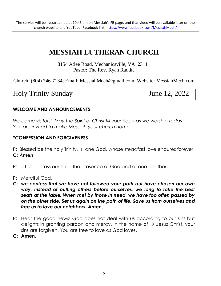The service will be livestreamed at 10:45 am on Messiah's FB page, and that video will be available later on the church website and YouTube. Facebook link:<https://www.facebook.com/MessiahMech/>

# **MESSIAH LUTHERAN CHURCH**

8154 Atlee Road, Mechanicsville, VA 23111 Pastor: The Rev. Ryan Radtke

Church: (804) 746-7134; Email: MessiahMech@gmail.com; Website: [MessiahMech.c](http://www.mlcas.org/)om

Holy Trinity Sunday June 12, 2022

#### **WELCOME AND ANNOUNCEMENTS**

*Welcome visitors! May the Spirit of Christ fill your heart as we worship today. You are invited to make Messiah your church home.*

### **\*CONFESSION AND FORGIVENESS**

P: Blessed be the holy Trinity,  $\pm$  one God, whose steadfast love endures forever.

#### **C:** *Amen*

P: Let us confess our sin in the presence of God and of one another.

- P: Merciful God,
- **C:** *we confess that we have not followed your path but have chosen our own way. Instead of putting others before ourselves, we long to take the best seats at the table. When met by those in need, we have too often passed by on the other side. Set us again on the path of life. Save us from ourselves and free us to love our neighbors. Amen***.**
- P: Hear the good news! God does not deal with us according to our sins but delights in granting pardon and mercy. In the name of  $\pm$  Jesus Christ, your sins are forgiven. You are free to love as God loves.
- **C: Amen.**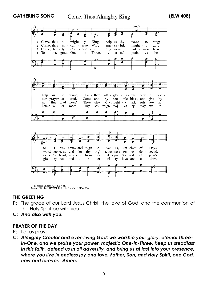**GATHERING SONG (ELW 408)**



Text: source unknown, c. 1757, alt.<br>Music: ITALIAN HYMN, Felice de Giardini, 1716–1796

#### **THE GREETING**

- P: The grace of our Lord Jesus Christ, the love of God, and the communion of the Holy Spirit be with you all.
- **C:** *And also with you.*

#### **PRAYER OF THE DAY**

- P: Let us pray:
- **C:** *Almighty Creator and ever-living God: we worship your glory, eternal Threein-One, and we praise your power, majestic One-in-Three. Keep us steadfast in this faith, defend us in all adversity, and bring us at last into your presence, where you live in endless joy and love, Father, Son, and Holy Spirit, one God, now and forever. Amen.*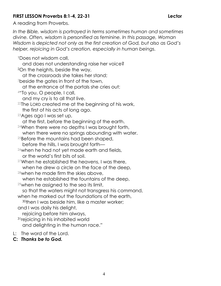# **FIRST LESSON Proverbs 8:1-4, 22-31 Lector**

A reading from Proverbs.

*In the Bible, wisdom is portrayed in terms sometimes human and sometimes divine. Often, wisdom is personified as feminine. In this passage, Woman Wisdom is depicted not only as the first creation of God, but also as God's helper, rejoicing in God's creation, especially in human beings.*

<sup>1</sup>Does not wisdom call, and does not understanding raise her voice? <sup>2</sup>On the heights, beside the way, at the crossroads she takes her stand; <sup>3</sup>beside the gates in front of the town, at the entrance of the portals she cries out: <sup>4</sup>"To you, O people, I call, and my cry is to all that live.  $22$ The LORD created me at the beginning of his work, the first of his acts of long ago. <sup>23</sup>Ages ago I was set up, at the first, before the beginning of the earth. <sup>24</sup>When there were no depths I was brought forth, when there were no springs abounding with water. <sup>25</sup>Before the mountains had been shaped, before the hills, I was brought forth— 26when he had not yet made earth and fields, or the world's first bits of soil.  $27$ When he established the heavens, I was there, when he drew a circle on the face of the deep,  $28$ when he made firm the skies above, when he established the fountains of the deep.  $29$  when he assigned to the sea its limit, so that the waters might not transgress his command, when he marked out the foundations of the earth, <sup>30</sup>then I was beside him, like a master worker; and I was daily his delight, rejoicing before him always, 3<sup>1</sup> rejoicing in his inhabited world and delighting in the human race."

- L: The word of the Lord.
- **C:** *Thanks be to God.*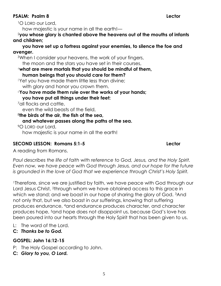# **PSALM: Psalm 8 Lector**

<sup>1</sup>O LORD our Lord,

how majestic is your name in all the earth!—

<sup>2</sup>**you whose glory is chanted above the heavens out of the mouths of infants and children;**

# **you have set up a fortress against your enemies, to silence the foe and avenger.**

<sup>3</sup>When I consider your heavens, the work of your fingers, the moon and the stars you have set in their courses, <sup>4</sup>**what are mere mortals that you should be mindful of them, human beings that you should care for them?** <sup>5</sup>Yet you have made them little less than divine; with glory and honor you crown them. <sup>6</sup>**You have made them rule over the works of your hands; you have put all things under their feet:** <sup>7</sup>all flocks and cattle,

even the wild beasts of the field,

<sup>8</sup>**the birds of the air, the fish of the sea,**

# **and whatever passes along the paths of the sea.**

<sup>9</sup>O LORD our Lord,

how majestic is your name in all the earth!

# **SECOND LESSON: Romans 5:1-5 Lector**

A reading from Romans.

*Paul describes the life of faith with reference to God, Jesus, and the Holy Spirit. Even now, we have peace with God through Jesus, and our hope for the future is grounded in the love of God that we experience through Christ's Holy Spirit.*

<sup>1</sup>Therefore, since we are justified by faith, we have peace with God through our Lord Jesus Christ, 2through whom we have obtained access to this grace in which we stand; and we boast in our hope of sharing the glory of God. 3And not only that, but we also boast in our sufferings, knowing that suffering produces endurance, 4and endurance produces character, and character produces hope, 5and hope does not disappoint us, because God's love has been poured into our hearts through the Holy Spirit that has been given to us.

- L: The word of the Lord.
- **C:** *Thanks be to God.*

# **GOSPEL: John 16:12-15**

- P: The Holy Gospel according to John.
- **C:** *Glory to you, O Lord.*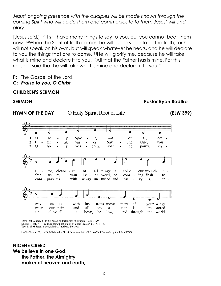Jesus' ongoing presence with the disciples will be made known through the *coming Spirit who will guide them and communicate to them Jesus' will and glory.*

[Jesus said,] 12"I still have many things to say to you, but you cannot bear them now. 13When the Spirit of truth comes, he will guide you into all the truth; for he will not speak on his own, but will speak whatever he hears, and he will declare to you the things that are to come. 14He will glorify me, because he will take what is mine and declare it to you. 15All that the Father has is mine. For this reason I said that he will take what is mine and declare it to you."

P: The Gospel of the Lord.

**C:** *Praise to you, O Christ.*

#### **CHILDREN'S SERMON**

**SERMON Pastor Ryan Radtke**



Text: Jean Janzen, b. 1933; based on Hildegard of Bingen, 1098-1179 Music: PUER NOBIS, European tune; adapt. Michael Praetorius, 1571-1621 Text © 1991 Jean Janzen, admin. Augsburg Fortress

Duplication in any form prohibited without permission or valid license from copyright administrator.

**NICENE CREED We believe in one God, the Father, the Almighty, maker of heaven and earth,**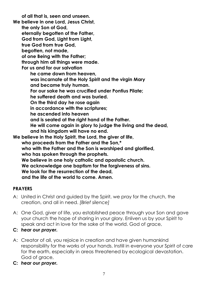**of all that is, seen and unseen.**

**We believe in one Lord, Jesus Christ, the only Son of God, eternally begotten of the Father, God from God, Light from Light, true God from true God, begotten, not made, of one Being with the Father; through him all things were made. For us and for our salvation he came down from heaven, was incarnate of the Holy Spirit and the virgin Mary and became truly human. For our sake he was crucified under Pontius Pilate; he suffered death and was buried. On the third day he rose again in accordance with the scriptures; he ascended into heaven and is seated at the right hand of the Father. He will come again in glory to judge the living and the dead, and his kingdom will have no end. We believe in the Holy Spirit, the Lord, the giver of life, who proceeds from the Father and the Son,\* who with the Father and the Son is worshiped and glorified, who has spoken through the prophets. We believe in one holy catholic and apostolic church.**

**We acknowledge one baptism for the forgiveness of sins.**

**We look for the resurrection of the dead,**

**and the life of the world to come. Amen.**

# **PRAYERS**

- A: United in Christ and guided by the Spirit, we pray for the church, the creation, and all in need. *[Brief silence]*
- A: One God, giver of life, you established peace through your Son and gave your church the hope of sharing in your glory. Enliven us by your Spirit to speak and act in love for the sake of the world. God of grace,
- **C:** *hear our prayer.*
- A: Creator of all, you rejoice in creation and have given humankind responsibility for the works of your hands. Instill in everyone your Spirit of care for the earth, especially in areas threatened by ecological devastation. God of grace,
- **C:** *hear our prayer.*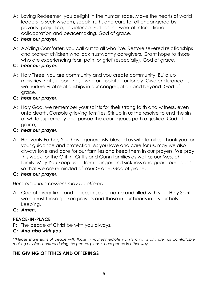- A: Loving Redeemer, you delight in the human race. Move the hearts of world leaders to seek wisdom, speak truth, and care for all endangered by poverty, prejudice, or violence. Further the work of international collaboration and peacemaking. God of grace,
- **C:** *hear our prayer.*
- A: Abiding Comforter, you call out to all who live. Restore severed relationships and protect children who lack trustworthy caregivers. Grant hope to those who are experiencing fear, pain, or grief (especially). God of grace,

# **C:** *hear our prayer.*

A: Holy Three, you are community and you create community. Build up ministries that support those who are isolated or lonely. Give endurance as we nurture vital relationships in our congregation and beyond. God of grace,

# **C:** *hear our prayer.*

A: Holy God, we remember your saints for their strong faith and witness, even unto death. Console grieving families. Stir up in us the resolve to end the sin of white supremacy and pursue the courageous path of justice. God of grace,

# **C:** *hear our prayer.*

A: Heavenly Father, You have generously blessed us with families. Thank you for your guidance and protection. As you love and care for us, may we also always love and care for our families and keep them in our prayers. We pray this week for the Griffin, Griffis and Gunn families as well as our Messiah family. May You keep us all from danger and sickness and guard our hearts so that we are reminded of Your Grace. God of grace,

### **C:** *hear our prayer.*

*Here other intercessions may be offered.*

A: God of every time and place, in Jesus' name and filled with your Holy Spirit, we entrust these spoken prayers and those in our hearts into your holy keeping.

### **C:** *Amen***.**

### **PEACE-IN-PLACE**

P: The peace of Christ be with you always.

### **C***: And also with you.*

*\*\*Please share signs of peace with those in your immediate vicinity only. If any are not comfortable making physical contact during the peace, please share peace in other ways.*

# **THE GIVING OF TITHES AND OFFERINGS**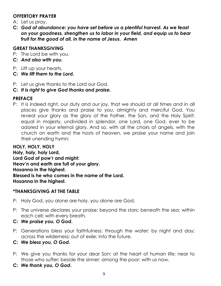### **OFFERTORY PRAYER**

- A: Let us pray.
- **C:** *God of abundance: you have set before us a plentiful harvest. As we feast on your goodness, strengthen us to labor in your field, and equip us to bear fruit for the good of all, in the name of Jesus. Amen*

#### **GREAT THANKSGIVING**

- P: The Lord be with you.
- **C:** *And also with you.*
- P: Lift up your hearts.
- **C:** *We lift them to the Lord.*
- P: Let us give thanks to the Lord our God.
- **C:** *It is right to give God thanks and praise.*

#### **PREFACE**

P: It is indeed right, our duty and our joy, that we should at all times and in all places give thanks and praise to you, almighty and merciful God. You reveal your glory as the glory of the Father, the Son, and the Holy Spirit: equal in majesty, undivided in splendor, one Lord, one God, ever to be adored in your eternal glory. And so, with all the choirs of angels, with the church on earth and the hosts of heaven, we praise your name and join their unending hymn:

**HOLY, HOLY, HOLY Holy, holy, holy Lord, Lord God of pow'r and might: Heav'n and earth are full of your glory. Hosanna in the highest. Blessed is he who comes in the name of the Lord. Hosanna in the highest.**

### **\*THANKSGIVING AT THE TABLE**

- P: Holy God, you alone are holy, you alone are God.
- P: The universe declares your praise: beyond the stars; beneath the sea; within each cell; with every breath.
- **C:** *We praise you, O God***.**
- P: Generations bless your faithfulness: through the water; by night and day; across the wilderness; out of exile; into the future.
- **C:** *We bless you, O God***.**
- P: We give you thanks for your dear Son: at the heart of human life; near to those who suffer; beside the sinner; among the poor; with us now.
- **C:** *We thank you, O God***.**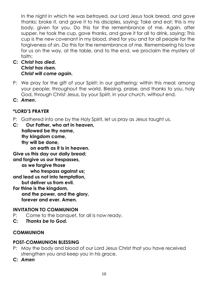In the night in which he was betrayed, our Lord Jesus took bread, and gave thanks; broke it, and gave it to his disciples, saying: Take and eat; this is my body, given for you. Do this for the remembrance of me. Again, after supper, he took the cup, gave thanks, and gave it for all to drink, saying: This cup is the new covenant in my blood, shed for you and for all people for the forgiveness of sin. Do this for the remembrance of me. Remembering his love for us on the way, at the table, and to the end, we proclaim the mystery of faith<sup>.</sup>

# **C:** *Christ has died. Christ has risen. Christ will come again.*

- P: We pray for the gift of your Spirit: in our gathering; within this meal; among your people; throughout the world. Blessing, praise, and thanks to you, holy God, through Christ Jesus, by your Spirit, in your church, without end.
- **C:** *Amen***.**

# **\*LORD'S PRAYER**

P: Gathered into one by the Holy Spirit, let us pray as Jesus taught us.

**C: Our Father, who art in heaven, hallowed be thy name, thy kingdom come, thy will be done, on earth as it is in heaven. Give us this day our daily bread; and forgive us our trespasses, as we forgive those who trespass against us; and lead us not into temptation, but deliver us from evil. For thine is the kingdom, and the power, and the glory, forever and ever. Amen.**

### **INVITATION TO COMMUNION**

- P: Come to the banquet, for all is now ready.
- **C:** *Thanks be to God.*

# **COMMUNION**

# **POST-COMMUNION BLESSING**

- P: May the body and blood of our Lord Jesus Christ that you have received strengthen you and keep you in his grace.
- **C:** *Amen*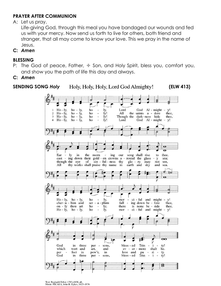# **PRAYER AFTER COMMUNION**

A: Let us pray.

Life-giving God, through this meal you have bandaged our wounds and fed us with your mercy. Now send us forth to live for others, both friend and stranger, that all may come to know your love. This we pray in the name of Jesus.

#### **C:** *Amen*

#### **BLESSING**

- P: The God of peace, Father,  $\pm$  Son, and Holy Spirit, bless you, comfort you, and show you the path of life this day and always.
- **C:** *Amen*

**SENDING SONG** *Holy* **(ELW 413)**



Text: Reginald Heber, 1783-1826, alt.<br>Music: NICAEA, John B. Dykes, 1823-1876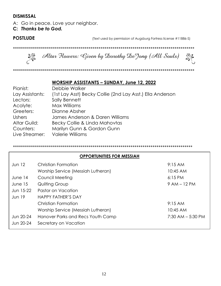#### **DISMISSAL**

A: Go in peace. Love your neighbor.

**C:** *Thanks be to God.*

**POSTLUDE** (Text used by permission of Augsburg Fortress license #11886-S)

| Altar Flowers: Given by Dorothy DeJong (All Souls) 52 |  |
|-------------------------------------------------------|--|

# **WORSHIP ASSISTANTS – SUNDAY, June 12, 2022**

\*\*\*\*\*\*\*\*\*\*\*\*\*\*\*\*\*\*\*\*\*\*\*\*\*\*\*\*\*\*\*\*\*\*\*\*\*\*\*\*\*\*\*\*\*\*\*\*\*\*\*\*\*\*\*\*\*\*\*\*\*\*\*\*\*\*\*\*\*\*\*\*\*\*\*\*\*\*\*\*\*\*\*\*\*\*\*\*\*\*\*

| Pianist:        | Debbie Walker                                             |
|-----------------|-----------------------------------------------------------|
| Lay Assistants: | (1st Lay Asst) Becky Collie (2nd Lay Asst.) Ella Anderson |
| Lectors:        | Sally Bennett                                             |
| Acolyte:        | Max Williams                                              |
| Greeters:       | Dianne Absher                                             |
| <b>Ushers</b>   | James Anderson & Daren Williams                           |
| Altar Guild:    | Becky Collie & Linda Mahovtas                             |
| Counters:       | Marilyn Gunn & Gordon Gunn                                |
| Live Streamer:  | <b>Valerie Williams</b>                                   |

\*\*\*\*\*\*\*\*\*\*\*\*\*\*\*\*\*\*\*\*\*\*\*\*\*\*\*\*\*\*\*\*\*\*\*\*\*\*\*\*\*\*\*\*\*\*\*\*\*\*\*\*\*\*\*\*\*\*\*\*\*\*\*\*\*\*\*\*\*\*\*\*\*\*\*\*\*\*\*\*\*\*\*\*\*\*\*\*\*\*

| <b>OPPORTUNITIES FOR MESSIAH</b> |                                    |                      |  |  |
|----------------------------------|------------------------------------|----------------------|--|--|
| Jun $12$                         | Christian Formation                | 9:15AM               |  |  |
|                                  | Worship Service (Messiah Lutheran) | 10:45 AM             |  |  |
| June 14                          | Council Meeting                    | $6:15$ PM            |  |  |
| June $15$                        | Quilting Group                     | $9 AM - 12 PM$       |  |  |
| Jun 15-22                        | Pastor on Vacation                 |                      |  |  |
| Jun 19                           | <b>HAPPY FATHER'S DAY</b>          |                      |  |  |
|                                  | Christian Formation                | 9:15AM               |  |  |
|                                  | Worship Service (Messiah Lutheran) | 10:45 AM             |  |  |
| Jun 20-24                        | Hanover Parks and Recs Youth Camp  | $7:30$ AM $-5:30$ PM |  |  |
| Jun 20-24                        | Secretary on Vacation              |                      |  |  |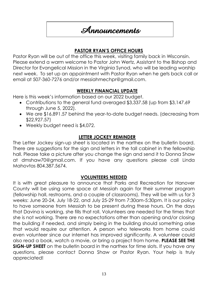# **Announcements**

# **PASTOR RYAN'S OFFICE HOURS**

Pastor Ryan will be out of the office this week, visiting family back in Wisconsin. Please extend a warm welcome to Pastor John Wertz, Assistant to the Bishop and Director for Evangelical Mission in the Virginia Synod, who will be leading worship next week. To set up an appointment with Pastor Ryan when he gets back call or email at 507-360-7276 and/or [messiahmechpr@gmail.com.](mailto:messiahmechpr@gmail.com)

# **WEEKLY FINANCIAL UPDATE**

Here is this week's information based on our 2022 budget.

- Contributions to the general fund averaged \$3,337.58 (up from \$3,147.69 through June 5, 2022).
- We are \$16,891.57 behind the year-to-date budget needs. (decreasing from \$22,927.57)
- Weekly budget need is \$4,072.

### **LETTER JOCKEY REMINDER**

The Letter Jockey sign-up sheet is located in the narthex on the bulletin board. There are suggestions for the sign and letters in the tall cabinet in the fellowship hall. Please take a picture after you change the sign and send it to Donna Shaw at [dmshaw70@gmail.com.](mailto:dmshaw70@gmail.com) If you have any questions please call Linda Mahovtas 804.387.5674.

#### **VOLUNTEERS NEEDED**

It is with great pleasure to announce that Parks and Recreation for Hanover County will be using some space at Messiah again for their summer program (fellowship hall, restrooms, and a couple of classrooms). They will be with us for 3 weeks: June 20-24, July 18-22, and July 25-29 from 7:30am-5:30pm. It is our policy to have someone from Messiah to be present during these hours. On the days that Davina is working, she fills that roll. Volunteers are needed for the times that she is not working. There are no expectations other than opening and/or closing the building if needed, and simply being in the building should something arise that would require our attention. A person who teleworks from home could even volunteer since our internet has improved significantly. A volunteer could also read a book, watch a movie, or bring a project from home. **PLEASE SEE THE SIGN-UP SHEET** on the bulletin board in the narthex for time slots. If you have any questions, please contact Donna Shaw or Pastor Ryan. Your help is truly appreciated!